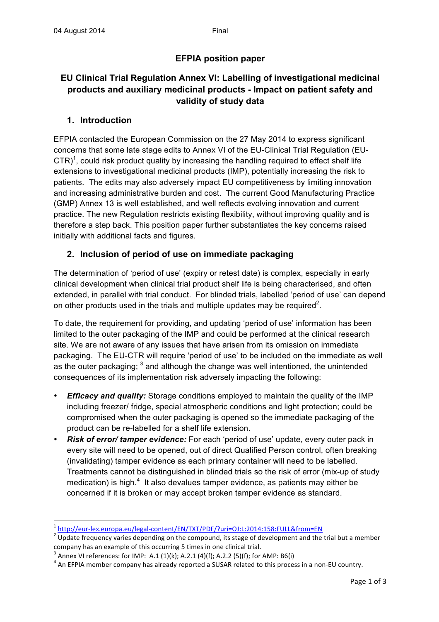## **EFPIA position paper**

# **EU Clinical Trial Regulation Annex VI: Labelling of investigational medicinal products and auxiliary medicinal products - Impact on patient safety and validity of study data**

## **1. Introduction**

EFPIA contacted the European Commission on the 27 May 2014 to express significant concerns that some late stage edits to Annex VI of the EU-Clinical Trial Regulation (EU- $CTR)^1$ , could risk product quality by increasing the handling required to effect shelf life extensions to investigational medicinal products (IMP), potentially increasing the risk to patients. The edits may also adversely impact EU competitiveness by limiting innovation and increasing administrative burden and cost. The current Good Manufacturing Practice (GMP) Annex 13 is well established, and well reflects evolving innovation and current practice. The new Regulation restricts existing flexibility, without improving quality and is therefore a step back. This position paper further substantiates the key concerns raised initially with additional facts and figures.

## **2. Inclusion of period of use on immediate packaging**

The determination of 'period of use' (expiry or retest date) is complex, especially in early clinical development when clinical trial product shelf life is being characterised, and often extended, in parallel with trial conduct. For blinded trials, labelled 'period of use' can depend on other products used in the trials and multiple updates may be required<sup>2</sup>.

To date, the requirement for providing, and updating 'period of use' information has been limited to the outer packaging of the IMP and could be performed at the clinical research site. We are not aware of any issues that have arisen from its omission on immediate packaging. The EU-CTR will require 'period of use' to be included on the immediate as well as the outer packaging;  $3$  and although the change was well intentioned, the unintended consequences of its implementation risk adversely impacting the following:

- *Efficacy and quality:* Storage conditions employed to maintain the quality of the IMP including freezer/ fridge, special atmospheric conditions and light protection; could be compromised when the outer packaging is opened so the immediate packaging of the product can be re-labelled for a shelf life extension.
- *Risk of error/ tamper evidence:* For each 'period of use' update, every outer pack in every site will need to be opened, out of direct Qualified Person control, often breaking (invalidating) tamper evidence as each primary container will need to be labelled. Treatments cannot be distinguished in blinded trials so the risk of error (mix-up of study medication) is high. $<sup>4</sup>$  It also devalues tamper evidence, as patients may either be</sup> concerned if it is broken or may accept broken tamper evidence as standard.

<u> 1989 - Jan Samuel Barbara, político establecido de la provincia de la provincia de la provincia de la provinci</u>

 $\frac{1}{2}$  http://eur-lex.europa.eu/legal-content/EN/TXT/PDF/?uri=OJ:L:2014:158:FULL&from=EN<br>
<sup>2</sup> Update frequency varies depending on the compound, its stage of development and the trial but a member company has an example of this occurring 5 times in one clinical trial.

Annex VI references: for IMP: A.1 (1)(k); A.2.1 (4)(f); A.2.2 (5)(f); for AMP: B6(i)

An EFPIA member company has already reported a SUSAR related to this process in a non-EU country.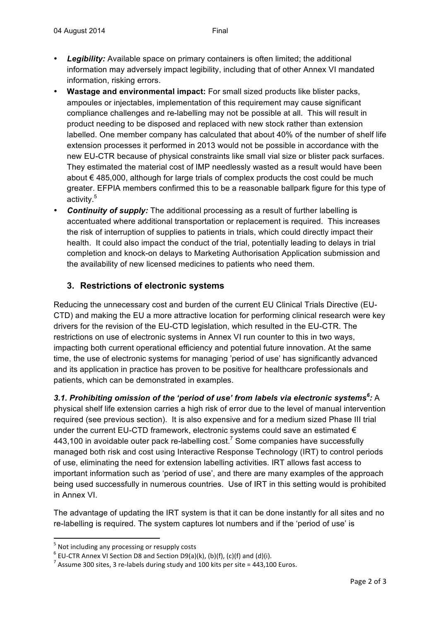- *Legibility:* Available space on primary containers is often limited; the additional information may adversely impact legibility, including that of other Annex VI mandated information, risking errors.
- **Wastage and environmental impact:** For small sized products like blister packs, ampoules or injectables, implementation of this requirement may cause significant compliance challenges and re-labelling may not be possible at all. This will result in product needing to be disposed and replaced with new stock rather than extension labelled. One member company has calculated that about 40% of the number of shelf life extension processes it performed in 2013 would not be possible in accordance with the new EU-CTR because of physical constraints like small vial size or blister pack surfaces. They estimated the material cost of IMP needlessly wasted as a result would have been about € 485,000, although for large trials of complex products the cost could be much greater. EFPIA members confirmed this to be a reasonable ballpark figure for this type of activity.<sup>5</sup>
- *Continuity of supply:* The additional processing as a result of further labelling is accentuated where additional transportation or replacement is required. This increases the risk of interruption of supplies to patients in trials, which could directly impact their health. It could also impact the conduct of the trial, potentially leading to delays in trial completion and knock-on delays to Marketing Authorisation Application submission and the availability of new licensed medicines to patients who need them.

### **3. Restrictions of electronic systems**

Reducing the unnecessary cost and burden of the current EU Clinical Trials Directive (EU-CTD) and making the EU a more attractive location for performing clinical research were key drivers for the revision of the EU-CTD legislation, which resulted in the EU-CTR. The restrictions on use of electronic systems in Annex VI run counter to this in two ways, impacting both current operational efficiency and potential future innovation. At the same time, the use of electronic systems for managing 'period of use' has significantly advanced and its application in practice has proven to be positive for healthcare professionals and patients, which can be demonstrated in examples.

*3.1. Prohibiting omission of the 'period of use' from labels via electronic systems<sup>6</sup> :* A physical shelf life extension carries a high risk of error due to the level of manual intervention required (see previous section). It is also expensive and for a medium sized Phase III trial under the current EU-CTD framework, electronic systems could save an estimated  $\epsilon$ 443,100 in avoidable outer pack re-labelling cost.<sup>7</sup> Some companies have successfully managed both risk and cost using Interactive Response Technology (IRT) to control periods of use, eliminating the need for extension labelling activities. IRT allows fast access to important information such as 'period of use', and there are many examples of the approach being used successfully in numerous countries. Use of IRT in this setting would is prohibited in Annex VI.

The advantage of updating the IRT system is that it can be done instantly for all sites and no re-labelling is required. The system captures lot numbers and if the 'period of use' is

 

<sup>&</sup>lt;sup>5</sup> Not including any processing or resupply costs<br>
<sup>6</sup> EU-CTR Annex VI Section D8 and Section D9(a)(k), (b)(f), (c)(f) and (d)(i).<br>
<sup>7</sup> Assume 300 sites, 3 re-labels during study and 100 kits per site = 443,100 Euros.